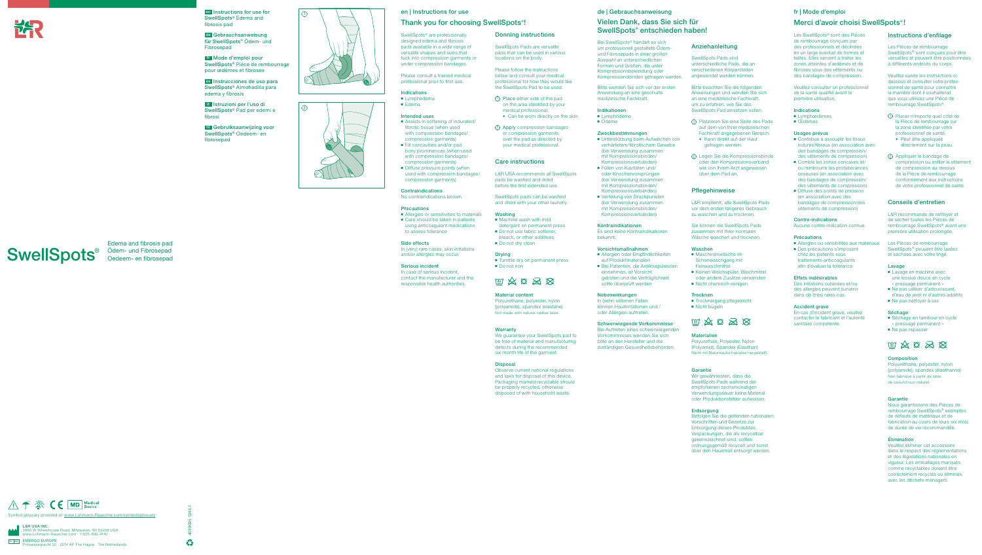### en | Instructions for use

### Thank you for choosing SwellSpots® !

SwellSpots<sup>®</sup> are professionally designed edema and fibrosis pads available in a wide range of versatile shapes and sizes that tuck into compression garments or under compression bandages. Please consult a trained medical professional prior to first use.

**Indications** ■ Lymphedema ■ Edema

■ Assists in softening of indurated/ fibrotic tissue (when used with compression bandages/ compression garments) ■ Fill concavities and/or pad bony prominences (when used with compression bandages/ compression garments) ■ Diffuse pressure points (when used with compression bandages/

**Contraindications** No contraindications known.

Intended uses

■ Allergies or sensitivities to materials ■ Care should be taken in patients using anticoagulant medications

1 Place either side of the pad on the area identified by your medical professional. ◆ Can be worn directly on the skin

compression garments)

Precautions

to assess tolerance

Side effects

In (very) rare cases, skin irritations and/or allergies may occur.

Serious incident In case of serious incident, contact the manufacturer and the responsible health authorities.

### Donning instructions

SwellSpots Pads are versatile pads that can be used in various locations on the body.

Please follow the instructions below and consult your medical professional for how they would like the SwellSpots Pad to be used.

2 Apply compression bandages or compression garments over the pad as directed by your medical professional.

### Care instructions

L&R USA recommends all SwellSpots pads be washed and dried before the first extended use.

SwellSpots pads can be washed and dried with your other laundry.

#### Washing

- Machine wash with mild detergent on permanent press
- Do not use fabric softener, bleach, or other additives
- Do not dry clean

#### **Drving**

■ Tumble dry on permanent press ■ Do not iron

# 11 公日公区

- Allergien oder Empfindlichkeiten auf Produktmaterialien
- Bei Patienten, die Antikoagulanzien einnehmen, ist Vorsicht geboten und die Verträglichkeit sollte überprüft werden

### Material content

Polyurethane, polyester, nylon (polyamide), spandex (elastane) Not made with natural rubber latex.

#### **Warranty**

We guarantee your SwellSpots pad to be free of material and manufacturing defects during the recommended six month life of the garment.

### Disposal

Observe current national regulations and laws for disposal of this device. Packaging marked recyclable should be properly recycled, otherwise disposed of with household waste.

# SwellSpots<sup>®</sup> Ödem- und Fibrosepad

### de | Gebrauchsanweisung

# Vielen Dank, dass Sie sich für SwellSpots® entschieden haben!

Bei SwellSpots® handelt es sich um professionell gestaltete Ödemund Fibrosepads in einer großen Auswahl an unterschiedlichen Formen und Größen, die unter Kompressionsbekleidung oder Kompressionsbinden getragen werden.

Bitte wenden Sie sich vor der ersten Anwendung an eine geschulte medizinische Fachkraft.

### Indikationen

- Lymphödeme
- Ödeme

### Zweckbestimmungen

- Unterstützung beim Aufweichen von verhärtetem/fibrotischem Gewebe (bei Verwendung zusammen mit Kompressionsbinden/ Kompressionsverbänden)
- Füllen von Kavitäten und oder Knochenvorsprüngen (bei Verwendung zusammen mit Kompressionsbinden/ Kompressionsverbänden)
- Verteilung von Druckpunkten (bei Verwendung zusammen mit Kompressionsbinden/ Kompressionsverbänden)
- Contribue à assouplir les tissus indurés/fibreux (en association avec des bandages de compression/ des vêtements de compression)
- Comble les zones concaves et/ ou rembourre les protubérances osseuses (en association avec des bandages de compression/ des vêtements de compression)
- Diffuse des points de pression (en association avec des bandages de compression/des vêtements de compression)

- Allergies ou sensibilités aux matériaux
- Des précautions s'imposent chez les patients sous traitements anticoagulants afin d'évaluer la tolérance

### Kontraindikationen

Es sind keine Kontraindikationen bekannt.

#### Vorsichtsmaßnahmen

#### Nebenwirkungen

In (sehr) seltenen Fällen können Hautirritationen und / oder Allergien auftreten.

### Schwerwiegende Vorkommnisse

Bei Auftreten eines schwerwiegenden Vorkommnisses wenden Sie sich bitte an den Hersteller und die zuständigen Gesundheitsbehörden.

### Anziehanleitung

SwellSpots Pads sind unterschiedliche Pads, die an verschiedenen Körperstellen angewendet werden können.

Bitte beachten Sie die folgenden Anweisungen und wenden Sie sich an eine medizinische Fachkraft, um zu erfahren, wie Sie das SwellSpots Pad einsetzen sollen.

- 1 Platzieren Sie eine Seite des Pads auf dem von Ihrer medizinischen Fachkraft angegebenen Bereich. ◆ Kann direkt auf der Haut
- getragen werden. 2 Legen Sie die Kompressionsbinde oder den Kompressionsverband



 $\begin{array}{c|c}\n\hline\n\end{array}$  en Instructions for use for  $\qquad \qquad \boxed{0}$ SwellSpots® Edema and fibrosis pad

wie von Ihrem Arzt angewiesen

über dem Pad an.

### Pflegehinweise

L&R empfiehlt, alle SwellSpots Pads vor dem ersten längeren Gebrauch zu waschen und zu trocknen.

4039095 1245.1  $\mathbf{G}$  Sie können die SwellSpots Pads zusammen mit Ihrer normalen Wäsche waschen und trocknen.

### Waschen

- Maschinenwäsche im Schonwaschgang mit Feinwaschmittel
- Keinen Weichspüler, Bleichmittel oder andere Zusätze verwenden
- Nicht chemisch reinigen

#### **Trocknen**

■ Trocknergang pflegeleicht



### **Materialien**

Polyurethan, Polyester, Nylon (Polyamid), Spandex (Elasthan) Nicht mit Naturkautschuklatex hergestellt.

### Garantie

Wir gewährleisten, dass die SwellSpots Pads während der empfohlenen sechsmonatige Verwendungsdauer keine Materialoder Produktionsfehler aufweisen.

#### Entsorgung

Befolgen Sie die geltenden nationalen Vorschriften und Gesetze zur Entsorgung dieses Produktes. Verpackungen, die als recycelbar gekennzeichnet sind, sollten ordnungsgemäß recycelt und sonst über den Hausmüll entsorgt werden.

# fr | Mode d'emploi

# Merci d'avoir choisi SwellSpots® !

Les SwellSpots® sont des Pièces de rembourrage conçues par des professionnels et déclinées en un large éventail de formes et tailles. Elles servent à traiter les zones atteintes d'œdèmes et de fibroses sous des vêtements ou des bandages de compression.

Veuillez consulter un professionnel de la santé qualifié avant la première utilisation.

### Indications

- Lymphœdèmes
- Œdèmes

#### Usages prévus

### Contre-indications

Aucune contre-indication connue.

#### Précautions

### Effets indésirables

Des irritations cutanées et/ou des allergies peuvent survenir dans de (très) rares cas.

### Accident grave

En cas d'incident grave, veuillez contacter le fabricant et l'autorité sanitaire compétente.

### Instructions d'enfilage

Les Pièces de rembourrage SwellSpots® sont conçues pour être versatiles et peuvent être positionnées à différents endroits du corps.

Veuillez suivre les instructions cidessous et consulter votre professionnel de santé pour connaître la manière dont il souhaiterait que vous utilisiez une Pièce de rembourrage SwellSpots®.

- 1 Placer n'importe quel côté de la Pièce de rembourrage sur la zone identifiée par votre professionnel de santé. ◆ Peut être appliquée
- directement sur la peau.
- 2 Appliquer le bandage de compression ou enfiler le vêtement de compression au-dessus de la Pièce de rembourrage conformément aux instructions de votre professionnel de santé.

### Conseils d'entretien

L&R recommande de nettoyer et de sécher toutes les Pièces de rembourrage SwellSpots® avant une première utilisation prolongée.

Les Pièces de rembourrage SwellSpots® peuvent être lavées et séchées avec votre linge.

#### Lavage

- Lavage en machine avec une lessive douce en cycle « pressage permanent »
- Ne pas utiliser d'adoucissant d'eau de javel ni d'autres additifs
- Ne pas nettoyer à sec

#### Séchage

- Séchage en tambour en cycle « pressage permanent »
- Ne pas repasser

# $\text{W} \otimes \text{S} \otimes \text{S}$

#### Composition

Polyuréthane, polyester, nylon (polyamide), spandex (élasthanne) Non fabriqué à partir de latex de caoutchouc naturel.

### Garantie

Nous garantissons des Pièces de rembourrage SwellSpots® exemptes de défauts de matériaux et de fabrication au cours de leurs six mois de durée de vie recommandée.

#### Élimination

Veuillez éliminer cet accessoire dans le respect des réglementations et des législations nationales en vigueur. Les emballages marqués comme recyclables doivent être correctement recyclés ou éliminés avec les déchets ménagers.

Edema and fibrosis pad Oedeem- en fibrosepad



de Gebrauchsanweisung für SwellSpots® Ödem- und Fibrosepad

fr Mode d'emploi pour SwellSpots® Pièce de rembourrage pour œdèmes et fibroses

es Instrucciones de uso para SwellSpots® Almohadilla para edema y fibrosis

it Istruzioni per l'uso di SwellSpots® Pad per edemi e fibrosi

nl Gebruiksaanwijzing voor SwellSpots® Oedeem- en fibrosepad